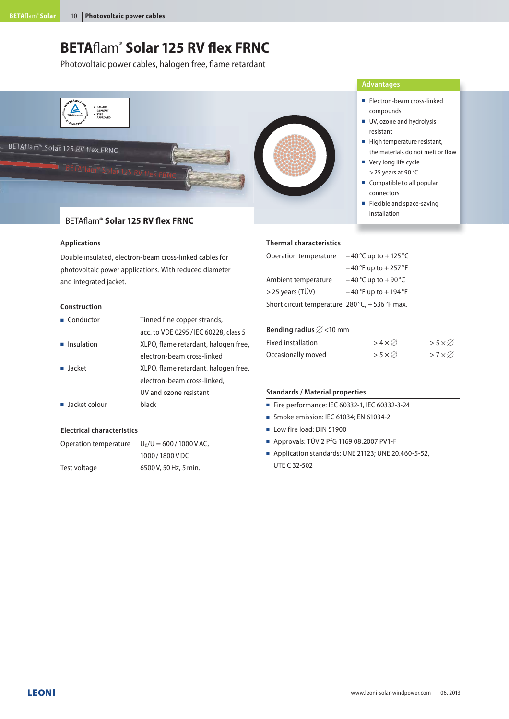# **BETA**flam®  **Solar 125 RV flex FRNC**

Photovoltaic power cables, halogen free, flame retardant



# BETAflam® **Solar 125 RV flex FRNC**

#### **Applications**

Double insulated, electron-beam cross-linked cables for photovoltaic power applications. With reduced diameter and integrated jacket.

#### **Construction**

| Tinned fine copper strands,           |
|---------------------------------------|
| acc. to VDE 0295 / IEC 60228, class 5 |
| XLPO, flame retardant, halogen free,  |
| electron-beam cross-linked            |
| XLPO, flame retardant, halogen free,  |
| electron-beam cross-linked,           |
| UV and ozone resistant                |
| black                                 |
|                                       |

# **Electrical characteristics**

| Operation temperature | $U_0/U = 600/1000 V AC$ , |  |  |
|-----------------------|---------------------------|--|--|
|                       | 1000/1800VDC              |  |  |
| Test voltage          | 6500 V, 50 Hz, 5 min.     |  |  |

#### **Thermal characteristics**

| Operation temperature                                   | $-40^{\circ}$ C up to $+125^{\circ}$ C |
|---------------------------------------------------------|----------------------------------------|
|                                                         | $-40$ °F up to $+257$ °F               |
| Ambient temperature                                     | $-40^{\circ}$ C up to $+90^{\circ}$ C  |
| $>$ 25 years (TÜV)                                      | $-40$ °F up to $+194$ °F               |
| Short circuit temperature $280^{\circ}$ C, +536 °F max. |                                        |

# Bending radius  $\varnothing$  <10 mm

| Fixed installation | $>4\times\varnothing$    | $>5\times\varnothing$    |
|--------------------|--------------------------|--------------------------|
| Occasionally moved | $>5\times$ $\varnothing$ | $>7\times$ $\varnothing$ |

#### **Standards / Material properties**

- Fire performance: IEC 60332-1, IEC 60332-3-24
- $\blacksquare$  Smoke emission: IEC 61034: EN 61034-2
- Low fire load: DIN 51900
- <sup>Q</sup> Approvals: TÜV 2 PfG 1169 08.2007 PV1-F
- Application standards: UNE 21123; UNE 20.460-5-52, UTE C 32-502